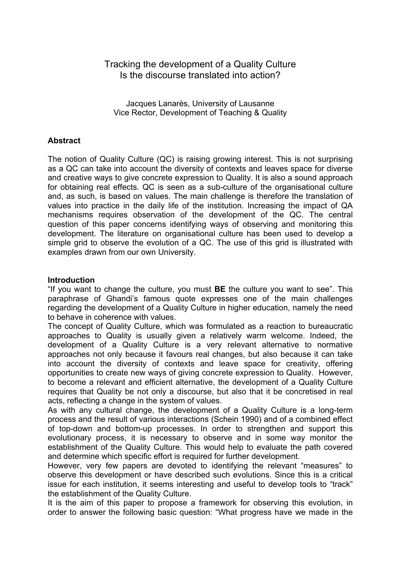# Tracking the development of a Quality Culture Is the discourse translated into action?

Jacques Lanarès, University of Lausanne Vice Rector, Development of Teaching & Quality

### **Abstract**

The notion of Quality Culture (QC) is raising growing interest. This is not surprising as a QC can take into account the diversity of contexts and leaves space for diverse and creative ways to give concrete expression to Quality. It is also a sound approach for obtaining real effects. QC is seen as a sub-culture of the organisational culture and, as such, is based on values. The main challenge is therefore the translation of values into practice in the daily life of the institution. Increasing the impact of QA mechanisms requires observation of the development of the QC. The central question of this paper concerns identifying ways of observing and monitoring this development. The literature on organisational culture has been used to develop a simple grid to observe the evolution of a QC. The use of this grid is illustrated with examples drawn from our own University.

### **Introduction**

"If you want to change the culture, you must **BE** the culture you want to see". This paraphrase of Ghandi's famous quote expresses one of the main challenges regarding the development of a Quality Culture in higher education, namely the need to behave in coherence with values.

The concept of Quality Culture, which was formulated as a reaction to bureaucratic approaches to Quality is usually given a relatively warm welcome. Indeed, the development of a Quality Culture is a very relevant alternative to normative approaches not only because it favours real changes, but also because it can take into account the diversity of contexts and leave space for creativity, offering opportunities to create new ways of giving concrete expression to Quality. However, to become a relevant and efficient alternative, the development of a Quality Culture requires that Quality be not only a discourse, but also that it be concretised in real acts, reflecting a change in the system of values.

As with any cultural change, the development of a Quality Culture is a long-term process and the result of various interactions (Schein 1990) and of a combined effect of top-down and bottom-up processes. In order to strengthen and support this evolutionary process, it is necessary to observe and in some way monitor the establishment of the Quality Culture. This would help to evaluate the path covered and determine which specific effort is required for further development.

However, very few papers are devoted to identifying the relevant "measures" to observe this development or have described such evolutions. Since this is a critical issue for each institution, it seems interesting and useful to develop tools to "track" the establishment of the Quality Culture.

It is the aim of this paper to propose a framework for observing this evolution, in order to answer the following basic question: "What progress have we made in the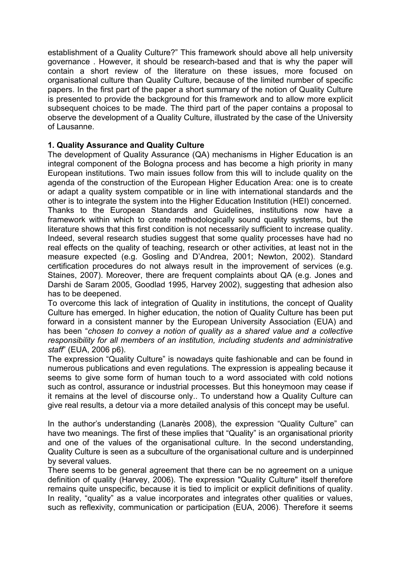establishment of a Quality Culture?" This framework should above all help university governance . However, it should be research-based and that is why the paper will contain a short review of the literature on these issues, more focused on organisational culture than Quality Culture, because of the limited number of specific papers. In the first part of the paper a short summary of the notion of Quality Culture is presented to provide the background for this framework and to allow more explicit subsequent choices to be made. The third part of the paper contains a proposal to observe the development of a Quality Culture, illustrated by the case of the University of Lausanne.

# **1. Quality Assurance and Quality Culture**

The development of Quality Assurance (QA) mechanisms in Higher Education is an integral component of the Bologna process and has become a high priority in many European institutions. Two main issues follow from this will to include quality on the agenda of the construction of the European Higher Education Area: one is to create or adapt a quality system compatible or in line with international standards and the other is to integrate the system into the Higher Education Institution (HEI) concerned. Thanks to the European Standards and Guidelines, institutions now have a framework within which to create methodologically sound quality systems, but the literature shows that this first condition is not necessarily sufficient to increase quality. Indeed, several research studies suggest that some quality processes have had no real effects on the quality of teaching, research or other activities, at least not in the measure expected (e.g. Gosling and D'Andrea, 2001; Newton, 2002). Standard certification procedures do not always result in the improvement of services (e.g. Staines, 2007). Moreover, there are frequent complaints about QA (e.g. Jones and Darshi de Saram 2005, Goodlad 1995, Harvey 2002), suggesting that adhesion also has to be deepened.

To overcome this lack of integration of Quality in institutions, the concept of Quality Culture has emerged. In higher education, the notion of Quality Culture has been put forward in a consistent manner by the European University Association (EUA) and has been "*chosen to convey a notion of quality as a shared value and a collective responsibility for all members of an institution, including students and administrative staff*" (EUA, 2006 p6).

The expression "Quality Culture" is nowadays quite fashionable and can be found in numerous publications and even regulations. The expression is appealing because it seems to give some form of human touch to a word associated with cold notions such as control, assurance or industrial processes. But this honeymoon may cease if it remains at the level of discourse only.. To understand how a Quality Culture can give real results, a detour via a more detailed analysis of this concept may be useful.

In the author's understanding (Lanarès 2008), the expression "Quality Culture" can have two meanings. The first of these implies that "Quality" is an organisational priority and one of the values of the organisational culture. In the second understanding, Quality Culture is seen as a subculture of the organisational culture and is underpinned by several values.

There seems to be general agreement that there can be no agreement on a unique definition of quality (Harvey, 2006). The expression "Quality Culture" itself therefore remains quite unspecific, because it is tied to implicit or explicit definitions of quality. In reality, "quality" as a value incorporates and integrates other qualities or values, such as reflexivity, communication or participation (EUA, 2006). Therefore it seems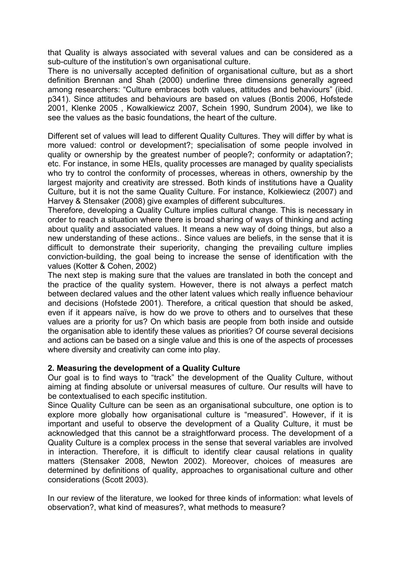that Quality is always associated with several values and can be considered as a sub-culture of the institution's own organisational culture.

There is no universally accepted definition of organisational culture, but as a short definition Brennan and Shah (2000) underline three dimensions generally agreed among researchers: "Culture embraces both values, attitudes and behaviours" (ibid. p341). Since attitudes and behaviours are based on values (Bontis 2006, Hofstede 2001, Klenke 2005 , Kowalkiewicz 2007, Schein 1990, Sundrum 2004), we like to see the values as the basic foundations, the heart of the culture.

Different set of values will lead to different Quality Cultures. They will differ by what is more valued: control or development?; specialisation of some people involved in quality or ownership by the greatest number of people?; conformity or adaptation?; etc. For instance, in some HEIs, quality processes are managed by quality specialists who try to control the conformity of processes, whereas in others, ownership by the largest majority and creativity are stressed. Both kinds of institutions have a Quality Culture, but it is not the same Quality Culture. For instance, Kolkiewiecz (2007) and Harvey & Stensaker (2008) give examples of different subcultures.

Therefore, developing a Quality Culture implies cultural change. This is necessary in order to reach a situation where there is broad sharing of ways of thinking and acting about quality and associated values. It means a new way of doing things, but also a new understanding of these actions.. Since values are beliefs, in the sense that it is difficult to demonstrate their superiority, changing the prevailing culture implies conviction-building, the goal being to increase the sense of identification with the values (Kotter & Cohen, 2002)

The next step is making sure that the values are translated in both the concept and the practice of the quality system. However, there is not always a perfect match between declared values and the other latent values which really influence behaviour and decisions (Hofstede 2001). Therefore, a critical question that should be asked, even if it appears naïve, is how do we prove to others and to ourselves that these values are a priority for us? On which basis are people from both inside and outside the organisation able to identify these values as priorities? Of course several decisions and actions can be based on a single value and this is one of the aspects of processes where diversity and creativity can come into play.

## **2. Measuring the development of a Quality Culture**

Our goal is to find ways to "track" the development of the Quality Culture, without aiming at finding absolute or universal measures of culture. Our results will have to be contextualised to each specific institution.

Since Quality Culture can be seen as an organisational subculture, one option is to explore more globally how organisational culture is "measured". However, if it is important and useful to observe the development of a Quality Culture, it must be acknowledged that this cannot be a straightforward process. The development of a Quality Culture is a complex process in the sense that several variables are involved in interaction. Therefore, it is difficult to identify clear causal relations in quality matters (Stensaker 2008, Newton 2002). Moreover, choices of measures are determined by definitions of quality, approaches to organisational culture and other considerations (Scott 2003).

In our review of the literature, we looked for three kinds of information: what levels of observation?, what kind of measures?, what methods to measure?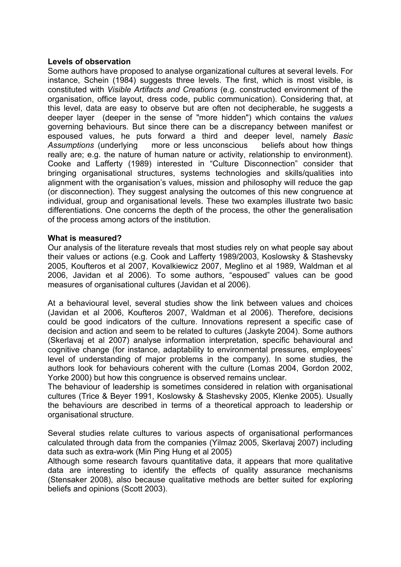### **Levels of observation**

Some authors have proposed to analyse organizational cultures at several levels. For instance, Schein (1984) suggests three levels. The first, which is most visible, is constituted with *Visible Artifacts and Creations* (e.g. constructed environment of the organisation, office layout, dress code, public communication). Considering that, at this level, data are easy to observe but are often not decipherable, he suggests a deeper layer (deeper in the sense of "more hidden") which contains the *values*  governing behaviours. But since there can be a discrepancy between manifest or espoused values, he puts forward a third and deeper level, namely *Basic Assumptions* (underlying more or less unconscious beliefs about how things really are; e.g. the nature of human nature or activity, relationship to environment). Cooke and Lafferty (1989) interested in "Culture Disconnection" consider that bringing organisational structures, systems technologies and skills/qualities into alignment with the organisation's values, mission and philosophy will reduce the gap (or disconnection). They suggest analysing the outcomes of this new congruence at individual, group and organisational levels. These two examples illustrate two basic differentiations. One concerns the depth of the process, the other the generalisation of the process among actors of the institution.

### **What is measured?**

Our analysis of the literature reveals that most studies rely on what people say about their values or actions (e.g. Cook and Lafferty 1989/2003, Koslowsky & Stashevsky 2005, Koufteros et al 2007, Kovalkiewicz 2007, Meglino et al 1989, Waldman et al 2006, Javidan et al 2006). To some authors, "espoused" values can be good measures of organisational cultures (Javidan et al 2006).

At a behavioural level, several studies show the link between values and choices (Javidan et al 2006, Koufteros 2007, Waldman et al 2006). Therefore, decisions could be good indicators of the culture. Innovations represent a specific case of decision and action and seem to be related to cultures (Jaskyte 2004). Some authors (Skerlavaj et al 2007) analyse information interpretation, specific behavioural and cognitive change (for instance, adaptability to environmental pressures, employees' level of understanding of major problems in the company). In some studies, the authors look for behaviours coherent with the culture (Lomas 2004, Gordon 2002, Yorke 2000) but how this congruence is observed remains unclear.

The behaviour of leadership is sometimes considered in relation with organisational cultures (Trice & Beyer 1991, Koslowsky & Stashevsky 2005, Klenke 2005). Usually the behaviours are described in terms of a theoretical approach to leadership or organisational structure.

Several studies relate cultures to various aspects of organisational performances calculated through data from the companies (Yilmaz 2005, Skerlavaj 2007) including data such as extra-work (Min Ping Hung et al 2005)

Although some research favours quantitative data, it appears that more qualitative data are interesting to identify the effects of quality assurance mechanisms (Stensaker 2008), also because qualitative methods are better suited for exploring beliefs and opinions (Scott 2003).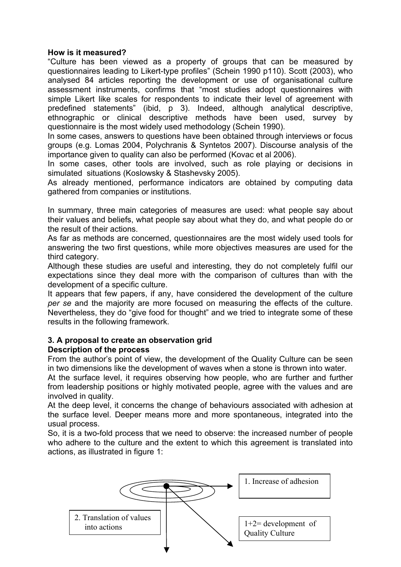## **How is it measured?**

"Culture has been viewed as a property of groups that can be measured by questionnaires leading to Likert-type profiles" (Schein 1990 p110). Scott (2003), who analysed 84 articles reporting the development or use of organisational culture assessment instruments, confirms that "most studies adopt questionnaires with simple Likert like scales for respondents to indicate their level of agreement with predefined statements" (ibid, p 3). Indeed, although analytical descriptive, ethnographic or clinical descriptive methods have been used, survey by questionnaire is the most widely used methodology (Schein 1990).

In some cases, answers to questions have been obtained through interviews or focus groups (e.g. Lomas 2004, Polychranis & Syntetos 2007). Discourse analysis of the importance given to quality can also be performed (Kovac et al 2006).

In some cases, other tools are involved, such as role playing or decisions in simulated situations (Koslowsky & Stashevsky 2005).

As already mentioned, performance indicators are obtained by computing data gathered from companies or institutions.

In summary, three main categories of measures are used: what people say about their values and beliefs, what people say about what they do, and what people do or the result of their actions.

As far as methods are concerned, questionnaires are the most widely used tools for answering the two first questions, while more objectives measures are used for the third category.

Although these studies are useful and interesting, they do not completely fulfil our expectations since they deal more with the comparison of cultures than with the development of a specific culture.

It appears that few papers, if any, have considered the development of the culture *per se* and the majority are more focused on measuring the effects of the culture. Nevertheless, they do "give food for thought" and we tried to integrate some of these results in the following framework.

#### **3. A proposal to create an observation grid Description of the process**

From the author's point of view, the development of the Quality Culture can be seen in two dimensions like the development of waves when a stone is thrown into water.

At the surface level, it requires observing how people, who are further and further from leadership positions or highly motivated people, agree with the values and are involved in quality.

At the deep level, it concerns the change of behaviours associated with adhesion at the surface level. Deeper means more and more spontaneous, integrated into the usual process.

So, it is a two-fold process that we need to observe: the increased number of people who adhere to the culture and the extent to which this agreement is translated into actions, as illustrated in figure 1:

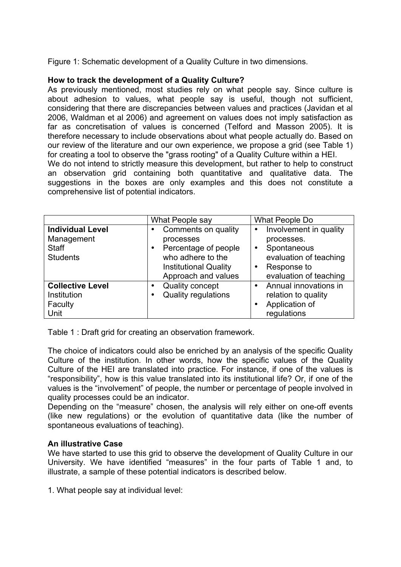Figure 1: Schematic development of a Quality Culture in two dimensions.

## **How to track the development of a Quality Culture?**

As previously mentioned, most studies rely on what people say. Since culture is about adhesion to values, what people say is useful, though not sufficient, considering that there are discrepancies between values and practices (Javidan et al 2006, Waldman et al 2006) and agreement on values does not imply satisfaction as far as concretisation of values is concerned (Telford and Masson 2005). It is therefore necessary to include observations about what people actually do. Based on our review of the literature and our own experience, we propose a grid (see Table 1) for creating a tool to observe the "grass rooting" of a Quality Culture within a HEI. We do not intend to strictly measure this development, but rather to help to construct an observation grid containing both quantitative and qualitative data. The suggestions in the boxes are only examples and this does not constitute a comprehensive list of potential indicators.

|                                                                          | What People say                                                                                                                           | What People Do                                                                                                                      |
|--------------------------------------------------------------------------|-------------------------------------------------------------------------------------------------------------------------------------------|-------------------------------------------------------------------------------------------------------------------------------------|
| <b>Individual Level</b><br>Management<br><b>Staff</b><br><b>Students</b> | Comments on quality<br>processes<br>Percentage of people<br>٠<br>who adhere to the<br><b>Institutional Quality</b><br>Approach and values | Involvement in quality<br>processes.<br>Spontaneous<br>$\bullet$<br>evaluation of teaching<br>Response to<br>evaluation of teaching |
| <b>Collective Level</b><br>Institution<br>Faculty<br>Unit                | <b>Quality concept</b><br>Quality regulations                                                                                             | Annual innovations in<br>$\bullet$<br>relation to quality<br>Application of<br>regulations                                          |

Table 1 : Draft grid for creating an observation framework.

The choice of indicators could also be enriched by an analysis of the specific Quality Culture of the institution. In other words, how the specific values of the Quality Culture of the HEI are translated into practice. For instance, if one of the values is "responsibility", how is this value translated into its institutional life? Or, if one of the values is the "involvement" of people, the number or percentage of people involved in quality processes could be an indicator.

Depending on the "measure" chosen, the analysis will rely either on one-off events (like new regulations) or the evolution of quantitative data (like the number of spontaneous evaluations of teaching).

# **An illustrative Case**

We have started to use this grid to observe the development of Quality Culture in our University. We have identified "measures" in the four parts of Table 1 and, to illustrate, a sample of these potential indicators is described below.

1. What people say at individual level: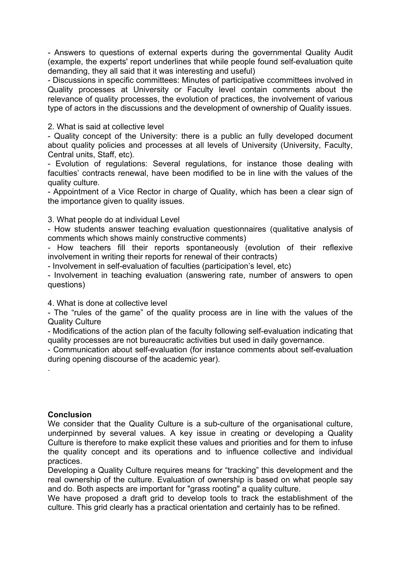- Answers to questions of external experts during the governmental Quality Audit (example, the experts' report underlines that while people found self-evaluation quite demanding, they all said that it was interesting and useful)

- Discussions in specific committees: Minutes of participative ccommittees involved in Quality processes at University or Faculty level contain comments about the relevance of quality processes, the evolution of practices, the involvement of various type of actors in the discussions and the development of ownership of Quality issues.

2. What is said at collective level

- Quality concept of the University: there is a public an fully developed document about quality policies and processes at all levels of University (University, Faculty, Central units, Staff, etc).

- Evolution of regulations: Several regulations, for instance those dealing with faculties' contracts renewal, have been modified to be in line with the values of the quality culture.

- Appointment of a Vice Rector in charge of Quality, which has been a clear sign of the importance given to quality issues.

3. What people do at individual Level

- How students answer teaching evaluation questionnaires (qualitative analysis of comments which shows mainly constructive comments)

- How teachers fill their reports spontaneously (evolution of their reflexive involvement in writing their reports for renewal of their contracts)

- Involvement in self-evaluation of faculties (participation's level, etc)

- Involvement in teaching evaluation (answering rate, number of answers to open questions)

4. What is done at collective level

- The "rules of the game" of the quality process are in line with the values of the Quality Culture

- Modifications of the action plan of the faculty following self-evaluation indicating that quality processes are not bureaucratic activities but used in daily governance.

- Communication about self-evaluation (for instance comments about self-evaluation during opening discourse of the academic year).

### **Conclusion**

.

We consider that the Quality Culture is a sub-culture of the organisational culture, underpinned by several values. A key issue in creating or developing a Quality Culture is therefore to make explicit these values and priorities and for them to infuse the quality concept and its operations and to influence collective and individual practices.

Developing a Quality Culture requires means for "tracking" this development and the real ownership of the culture. Evaluation of ownership is based on what people say and do. Both aspects are important for "grass rooting" a quality culture.

We have proposed a draft grid to develop tools to track the establishment of the culture. This grid clearly has a practical orientation and certainly has to be refined.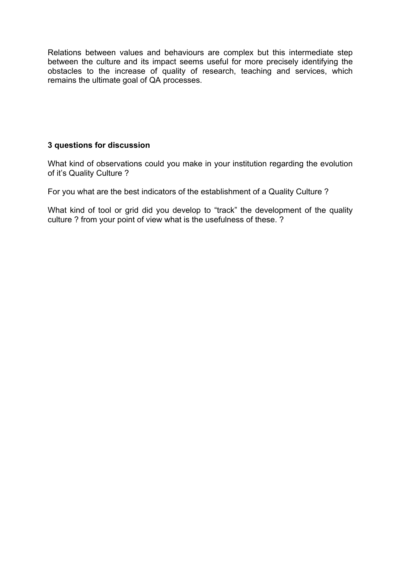Relations between values and behaviours are complex but this intermediate step between the culture and its impact seems useful for more precisely identifying the obstacles to the increase of quality of research, teaching and services, which remains the ultimate goal of QA processes.

# **3 questions for discussion**

What kind of observations could you make in your institution regarding the evolution of it's Quality Culture ?

For you what are the best indicators of the establishment of a Quality Culture ?

What kind of tool or grid did you develop to "track" the development of the quality culture ? from your point of view what is the usefulness of these. ?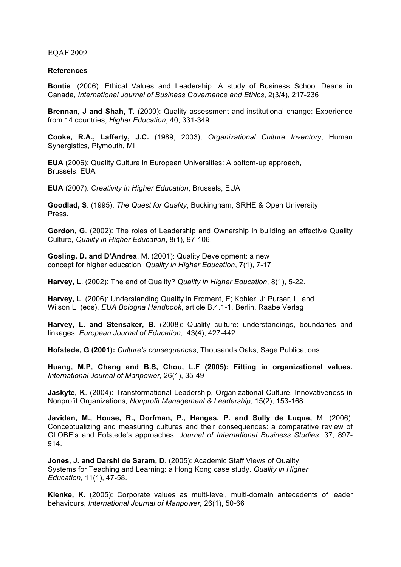EQAF 2009

#### **References**

**Bontis**. (2006): Ethical Values and Leadership: A study of Business School Deans in Canada, *International Journal of Business Governance and Ethics*, 2(3/4), 217-236

**Brennan, J and Shah, T**. (2000): Quality assessment and institutional change: Experience from 14 countries, *Higher Education*, 40, 331-349

**Cooke, R.A., Lafferty, J.C.** (1989, 2003), *Organizational Culture Inventory*, Human Synergistics, Plymouth, MI

**EUA** (2006): Quality Culture in European Universities: A bottom-up approach, Brussels, EUA

**EUA** (2007): *Creativity in Higher Education*, Brussels, EUA

**Goodlad, S**. (1995): *The Quest for Quality*, Buckingham, SRHE & Open University Press.

**Gordon, G**. (2002): The roles of Leadership and Ownership in building an effective Quality Culture, *Quality in Higher Education*, 8(1), 97-106.

**Gosling, D. and D'Andrea**, M. (2001): Quality Development: a new concept for higher education. *Quality in Higher Education*, 7(1), 7-17

**Harvey, L**. (2002): The end of Quality? *Quality in Higher Education*, 8(1), 5-22.

**Harvey, L**. (2006): Understanding Quality in Froment, E; Kohler, J; Purser, L. and Wilson L. (eds), *EUA Bologna Handbook*, article B.4.1-1, Berlin, Raabe Verlag

**Harvey, L. and Stensaker, B**. (2008): Quality culture: understandings, boundaries and linkages. *European Journal of Education*, 43(4), 427-442.

**Hofstede, G (2001):** *Culture's consequences*, Thousands Oaks, Sage Publications.

**Huang, M.P, Cheng and B.S, Chou, L.F (2005): Fitting in organizational values.**  *International Journal of Manpower,* 26(1), 35-49

**Jaskyte, K**. (2004): Transformational Leadership, Organizational Culture, Innovativeness in Nonprofit Organizations*, Nonprofit Management & Leadership*, 15(2), 153-168.

**Javidan, M., House, R., Dorfman, P., Hanges, P. and Sully de Luque,** M. (2006): Conceptualizing and measuring cultures and their consequences: a comparative review of GLOBE's and Fofstede's approaches, *Journal of International Business Studies*, 37, 897- 914.

**Jones, J. and Darshi de Saram, D**. (2005): Academic Staff Views of Quality Systems for Teaching and Learning: a Hong Kong case study. *Quality in Higher Education*, 11(1), 47-58.

**Klenke, K.** (2005): Corporate values as multi-level, multi-domain antecedents of leader behaviours, *International Journal of Manpower,* 26(1), 50-66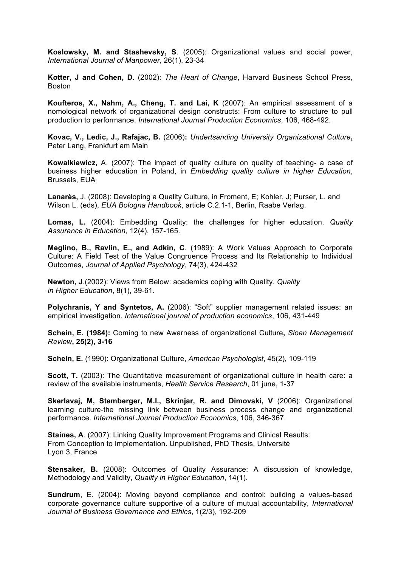**Koslowsky, M. and Stashevsky, S**. (2005): Organizational values and social power, *International Journal of Manpower*, 26(1), 23-34

**Kotter, J and Cohen, D**. (2002): *The Heart of Change*, Harvard Business School Press, Boston

**Koufteros, X., Nahm, A., Cheng, T. and Lai, K** (2007): An empirical assessment of a nomological network of organizational design constructs: From culture to structure to pull production to performance. *International Journal Production Economics*, 106, 468-492.

**Kovac, V., Ledic, J., Rafajac, B.** (2006)**:** *Undertsanding University Organizational Culture***,**  Peter Lang, Frankfurt am Main

**Kowalkiewicz,** A. (2007): The impact of quality culture on quality of teaching- a case of business higher education in Poland, in *Embedding quality culture in higher Education*, Brussels, EUA

**Lanarès,** J. (2008): Developing a Quality Culture, in Froment, E; Kohler, J; Purser, L. and Wilson L. (eds), *EUA Bologna Handbook*, article C.2.1-1, Berlin, Raabe Verlag.

**Lomas, L.** (2004): Embedding Quality: the challenges for higher education. *Quality Assurance in Education*, 12(4), 157-165.

**Meglino, B., Ravlin, E., and Adkin, C**. (1989): A Work Values Approach to Corporate Culture: A Field Test of the Value Congruence Process and Its Relationship to Individual Outcomes, *Journal of Applied Psychology*, 74(3), 424-432

**Newton, J**.(2002): Views from Below: academics coping with Quality. *Quality in Higher Education*, 8(1), 39-61.

**Polychranis, Y and Syntetos, A.** (2006): "Soft" supplier management related issues: an empirical investigation. *International journal of production economics*, 106, 431-449

**Schein, E. (1984):** Coming to new Awarness of organizational Culture**,** *Sloan Management Review***, 25(2), 3-16**

**Schein, E.** (1990): Organizational Culture, *American Psychologist*, 45(2), 109-119

**Scott, T.** (2003): The Quantitative measurement of organizational culture in health care: a review of the available instruments, *Health Service Research*, 01 june, 1-37

**Skerlavaj, M, Stemberger, M.I., Skrinjar, R. and Dimovski, V** (2006): Organizational learning culture-the missing link between business process change and organizational performance. *International Journal Production Economics*, 106, 346-367.

**Staines, A**. (2007): Linking Quality Improvement Programs and Clinical Results: From Conception to Implementation. Unpublished, PhD Thesis, Université Lyon 3, France

**Stensaker, B.** (2008): Outcomes of Quality Assurance: A discussion of knowledge, Methodology and Validity, *Quality in Higher Education*, 14(1).

**Sundrum**, E. (2004): Moving beyond compliance and control: building a values-based corporate governance culture supportive of a culture of mutual accountability, *International Journal of Business Governance and Ethics*, 1(2/3), 192-209